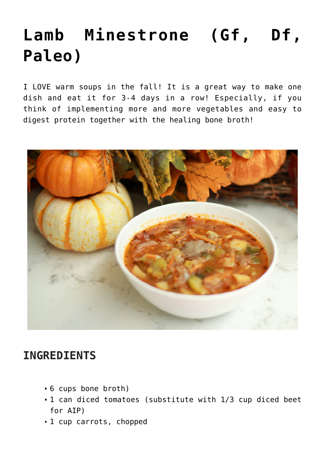## **[Lamb Minestrone \(Gf, Df,](https://sproutshealth.com/lamb-minestrone-gf-df-paleo/) [Paleo\)](https://sproutshealth.com/lamb-minestrone-gf-df-paleo/)**

I LOVE warm soups in the fall! It is a great way to make one dish and eat it for 3-4 days in a row! Especially, if you think of implementing more and more vegetables and easy to digest protein together with the healing bone broth!



## **INGREDIENTS**

- 6 cups bone broth)
- 1 can diced tomatoes (substitute with 1/3 cup diced beet for AIP)
- 1 cup carrots, chopped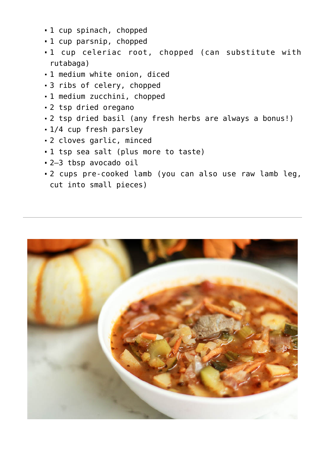- 1 cup spinach, chopped
- 1 cup parsnip, chopped
- 1 cup celeriac root, chopped (can substitute with rutabaga)
- 1 medium white onion, diced
- 3 ribs of celery, chopped
- 1 medium zucchini, chopped
- 2 tsp dried oregano
- 2 tsp dried basil (any fresh herbs are always a bonus!)
- 1/4 cup fresh parsley
- 2 cloves garlic, minced
- 1 tsp sea salt (plus more to taste)
- 2–3 tbsp avocado oil
- 2 cups pre-cooked lamb (you can also use raw lamb leg, cut into small pieces)